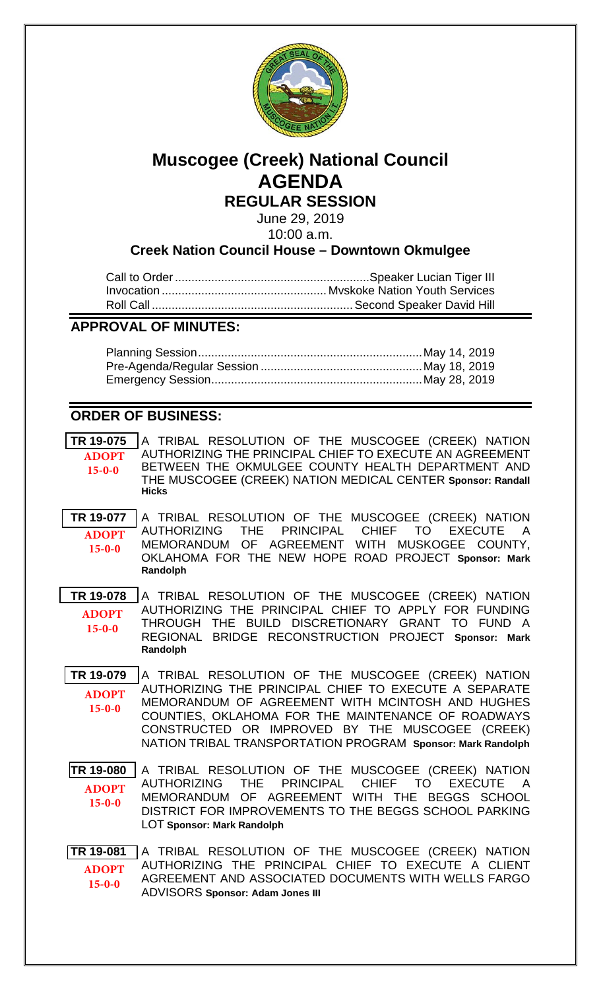

# **Muscogee (Creek) National Council AGENDA REGULAR SESSION**

June 29, 2019

10:00 a.m.

## **Creek Nation Council House – Downtown Okmulgee**

## **APPROVAL OF MINUTES:**

# **ORDER OF BUSINESS:**

| TR 19-075<br><b>ADOPT</b><br>$15 - 0 - 0$ | A TRIBAL RESOLUTION OF THE MUSCOGEE (CREEK) NATION<br>AUTHORIZING THE PRINCIPAL CHIEF TO EXECUTE AN AGREEMENT<br>BETWEEN THE OKMULGEE COUNTY HEALTH DEPARTMENT AND<br>THE MUSCOGEE (CREEK) NATION MEDICAL CENTER Sponsor: Randall<br><b>Hicks</b>                                                                                       |
|-------------------------------------------|-----------------------------------------------------------------------------------------------------------------------------------------------------------------------------------------------------------------------------------------------------------------------------------------------------------------------------------------|
| TR 19-077<br><b>ADOPT</b><br>$15 - 0 - 0$ | A TRIBAL RESOLUTION OF THE MUSCOGEE (CREEK) NATION<br>PRINCIPAL CHIEF TO EXECUTE A<br>AUTHORIZING THE<br>MEMORANDUM OF AGREEMENT WITH MUSKOGEE COUNTY,<br>OKLAHOMA FOR THE NEW HOPE ROAD PROJECT Sponsor: Mark<br>Randolph                                                                                                              |
| TR 19-078<br><b>ADOPT</b><br>$15 - 0 - 0$ | A TRIBAL RESOLUTION OF THE MUSCOGEE (CREEK) NATION<br>AUTHORIZING THE PRINCIPAL CHIEF TO APPLY FOR FUNDING<br>THROUGH THE BUILD DISCRETIONARY GRANT TO FUND A<br>REGIONAL BRIDGE RECONSTRUCTION PROJECT Sponsor: Mark<br>Randolph                                                                                                       |
| TR 19-079<br><b>ADOPT</b><br>$15 - 0 - 0$ | A TRIBAL RESOLUTION OF THE MUSCOGEE (CREEK) NATION<br>AUTHORIZING THE PRINCIPAL CHIEF TO EXECUTE A SEPARATE<br>MEMORANDUM OF AGREEMENT WITH MCINTOSH AND HUGHES<br>COUNTIES, OKLAHOMA FOR THE MAINTENANCE OF ROADWAYS<br>CONSTRUCTED OR IMPROVED BY THE MUSCOGEE (CREEK)<br>NATION TRIBAL TRANSPORTATION PROGRAM Sponsor: Mark Randolph |
| TR 19-080<br><b>ADOPT</b><br>$15 - 0 - 0$ | A TRIBAL RESOLUTION OF THE MUSCOGEE (CREEK) NATION<br>CHIEF TO<br>THE PRINCIPAL<br>EXECUTE A<br>AUTHORIZING<br>MEMORANDUM OF AGREEMENT WITH THE BEGGS SCHOOL<br>DISTRICT FOR IMPROVEMENTS TO THE BEGGS SCHOOL PARKING<br><b>LOT Sponsor: Mark Randolph</b>                                                                              |
| TR 19-081<br><b>ADOPT</b><br>$15 - 0 - 0$ | A TRIBAL RESOLUTION OF THE MUSCOGEE (CREEK) NATION<br>AUTHORIZING THE PRINCIPAL CHIEF TO EXECUTE A CLIENT<br>AGREEMENT AND ASSOCIATED DOCUMENTS WITH WELLS FARGO<br><b>ADVISORS Sponsor: Adam Jones III</b>                                                                                                                             |
|                                           |                                                                                                                                                                                                                                                                                                                                         |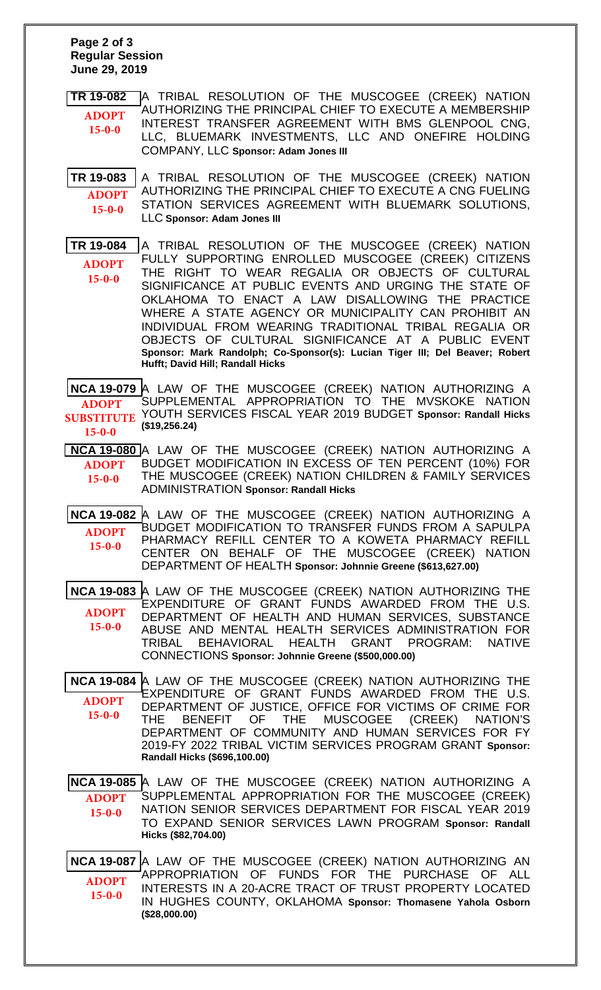#### **Page 2 of 3 Regular Session June 29, 2019**

**[TR 19-082](bills/19-082.pdf)** A TRIBAL RESOLUTION OF THE MUSCOGEE (CREEK) NATION AUTHORIZING THE PRINCIPAL CHIEF TO EXECUTE A MEMBERSHIP INTEREST TRANSFER AGREEMENT WITH BMS GLENPOOL CNG, LLC, BLUEMARK INVESTMENTS, LLC AND ONEFIRE HOLDING COMPANY, LLC **Sponsor: Adam Jones III ADOPT 15-0-0**

**[TR 19-083](bills/19-083.pdf)** A TRIBAL RESOLUTION OF THE MUSCOGEE (CREEK) NATION AUTHORIZING THE PRINCIPAL CHIEF TO EXECUTE A CNG FUELING STATION SERVICES AGREEMENT WITH BLUEMARK SOLUTIONS, LLC **Sponsor: Adam Jones III ADOPT 15-0-0**

**[TR 19-084](19-084.pdf)** A TRIBAL RESOLUTION OF THE MUSCOGEE (CREEK) NATION FULLY SUPPORTING ENROLLED MUSCOGEE (CREEK) CITIZENS THE RIGHT TO WEAR REGALIA OR OBJECTS OF CULTURAL SIGNIFICANCE AT PUBLIC EVENTS AND URGING THE STATE OF OKLAHOMA TO ENACT A LAW DISALLOWING THE PRACTICE WHERE A STATE AGENCY OR MUNICIPALITY CAN PROHIBIT AN INDIVIDUAL FROM WEARING TRADITIONAL TRIBAL REGALIA OR OBJECTS OF CULTURAL SIGNIFICANCE AT A PUBLIC EVENT **Sponsor: Mark Randolph; Co-Sponsor(s): Lucian Tiger III; Del Beaver; Robert Hufft; David Hill; Randall Hicks ADOPT 15-0-0**

**[NCA 19-079](bills/NCA19-079.pdf)** A LAW OF THE MUSCOGEE (CREEK) NATION AUTHORIZING A SUPPLEMENTAL APPROPRIATION TO THE MVSKOKE NATION YOUTH SERVICES FISCAL YEAR 2019 BUDGET **Sponsor: Randall Hicks SUBSTITUTE (\$19,256.24) ADOPT 15-0-0**

**[NCA 19-080](bills/19-080.pdf)** A LAW OF THE MUSCOGEE (CREEK) NATION AUTHORIZING A BUDGET MODIFICATION IN EXCESS OF TEN PERCENT (10%) FOR THE MUSCOGEE (CREEK) NATION CHILDREN & FAMILY SERVICES ADMINISTRATION **Sponsor: Randall Hicks ADOPT 15-0-0**

**[NCA 19-082](bills/NCA19-082.pdf)** A LAW OF THE MUSCOGEE (CREEK) NATION AUTHORIZING A BUDGET MODIFICATION TO TRANSFER FUNDS FROM A SAPULPA PHARMACY REFILL CENTER TO A KOWETA PHARMACY REFILL CENTER ON BEHALF OF THE MUSCOGEE (CREEK) NATION DEPARTMENT OF HEALTH **Sponsor: Johnnie Greene (\$613,627.00) ADOPT 15-0-0**

**[NCA 19-083](bills/19-083.pdf)** A LAW OF THE MUSCOGEE (CREEK) NATION AUTHORIZING THE EXPENDITURE OF GRANT FUNDS AWARDED FROM THE U.S. DEPARTMENT OF HEALTH AND HUMAN SERVICES, SUBSTANCE ABUSE AND MENTAL HEALTH SERVICES ADMINISTRATION FOR TRIBAL BEHAVIORAL HEALTH GRANT PROGRAM: NATIVE CONNECTIONS **Sponsor: Johnnie Greene (\$500,000.00) ADOPT 15-0-0**

**[NCA 19-084](bills/NCA19-084.pdf)** A LAW OF THE MUSCOGEE (CREEK) NATION AUTHORIZING THE EXPENDITURE OF GRANT FUNDS AWARDED FROM THE U.S. DEPARTMENT OF JUSTICE, OFFICE FOR VICTIMS OF CRIME FOR THE BENEFIT OF THE MUSCOGEE (CREEK) NATION'S DEPARTMENT OF COMMUNITY AND HUMAN SERVICES FOR FY 2019-FY 2022 TRIBAL VICTIM SERVICES PROGRAM GRANT **Sponsor: Randall Hicks (\$696,100.00) ADOPT 15-0-0**

**[NCA 19-085](bills/19-085.pdf)** A LAW OF THE MUSCOGEE (CREEK) NATION AUTHORIZING A SUPPLEMENTAL APPROPRIATION FOR THE MUSCOGEE (CREEK) NATION SENIOR SERVICES DEPARTMENT FOR FISCAL YEAR 2019 TO EXPAND SENIOR SERVICES LAWN PROGRAM **Sponsor: Randall Hicks (\$82,704.00) ADOPT 15-0-0**

**[NCA 19-087](bills/NCA19-087.pdf)** A LAW OF THE MUSCOGEE (CREEK) NATION AUTHORIZING AN APPROPRIATION OF FUNDS FOR THE PURCHASE OF ALL INTERESTS IN A 20-ACRE TRACT OF TRUST PROPERTY LOCATED IN HUGHES COUNTY, OKLAHOMA **Sponsor: Thomasene Yahola Osborn (\$28,000.00) ADOPT 15-0-0**